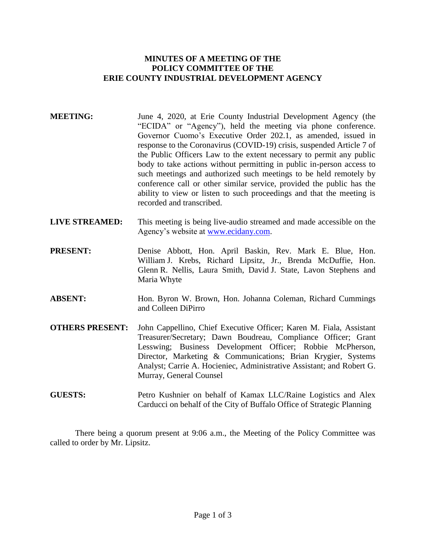# **MINUTES OF A MEETING OF THE POLICY COMMITTEE OF THE ERIE COUNTY INDUSTRIAL DEVELOPMENT AGENCY**

- **MEETING:** June 4, 2020, at Erie County Industrial Development Agency (the "ECIDA" or "Agency"), held the meeting via phone conference. Governor Cuomo's Executive Order 202.1, as amended, issued in response to the Coronavirus (COVID-19) crisis, suspended Article 7 of the Public Officers Law to the extent necessary to permit any public body to take actions without permitting in public in-person access to such meetings and authorized such meetings to be held remotely by conference call or other similar service, provided the public has the ability to view or listen to such proceedings and that the meeting is recorded and transcribed.
- **LIVE STREAMED:** This meeting is being live-audio streamed and made accessible on the Agency's website at [www.ecidany.com.](http://www.ecidany.com/)
- **PRESENT:** Denise Abbott, Hon. April Baskin, Rev. Mark E. Blue, Hon. William J. Krebs, Richard Lipsitz, Jr., Brenda McDuffie, Hon. Glenn R. Nellis, Laura Smith, David J. State, Lavon Stephens and Maria Whyte
- **ABSENT:** Hon. Byron W. Brown, Hon. Johanna Coleman, Richard Cummings and Colleen DiPirro
- **OTHERS PRESENT:** John Cappellino, Chief Executive Officer; Karen M. Fiala, Assistant Treasurer/Secretary; Dawn Boudreau, Compliance Officer; Grant Lesswing; Business Development Officer; Robbie McPherson, Director, Marketing & Communications; Brian Krygier, Systems Analyst; Carrie A. Hocieniec, Administrative Assistant; and Robert G. Murray, General Counsel
- **GUESTS:** Petro Kushnier on behalf of Kamax LLC/Raine Logistics and Alex Carducci on behalf of the City of Buffalo Office of Strategic Planning

There being a quorum present at 9:06 a.m., the Meeting of the Policy Committee was called to order by Mr. Lipsitz.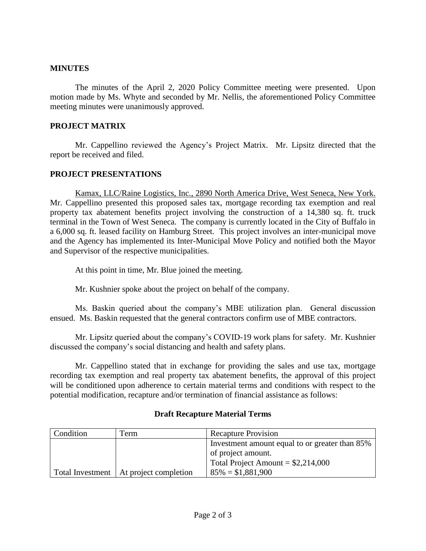## **MINUTES**

The minutes of the April 2, 2020 Policy Committee meeting were presented. Upon motion made by Ms. Whyte and seconded by Mr. Nellis, the aforementioned Policy Committee meeting minutes were unanimously approved.

#### **PROJECT MATRIX**

Mr. Cappellino reviewed the Agency's Project Matrix. Mr. Lipsitz directed that the report be received and filed.

### **PROJECT PRESENTATIONS**

Kamax, LLC/Raine Logistics, Inc., 2890 North America Drive, West Seneca, New York. Mr. Cappellino presented this proposed sales tax, mortgage recording tax exemption and real property tax abatement benefits project involving the construction of a 14,380 sq. ft. truck terminal in the Town of West Seneca. The company is currently located in the City of Buffalo in a 6,000 sq. ft. leased facility on Hamburg Street. This project involves an inter-municipal move and the Agency has implemented its Inter-Municipal Move Policy and notified both the Mayor and Supervisor of the respective municipalities.

At this point in time, Mr. Blue joined the meeting.

Mr. Kushnier spoke about the project on behalf of the company.

Ms. Baskin queried about the company's MBE utilization plan. General discussion ensued. Ms. Baskin requested that the general contractors confirm use of MBE contractors.

Mr. Lipsitz queried about the company's COVID-19 work plans for safety. Mr. Kushnier discussed the company's social distancing and health and safety plans.

Mr. Cappellino stated that in exchange for providing the sales and use tax, mortgage recording tax exemption and real property tax abatement benefits, the approval of this project will be conditioned upon adherence to certain material terms and conditions with respect to the potential modification, recapture and/or termination of financial assistance as follows:

# **Draft Recapture Material Terms**

| Condition | Term                                     | <b>Recapture Provision</b>                     |
|-----------|------------------------------------------|------------------------------------------------|
|           |                                          | Investment amount equal to or greater than 85% |
|           |                                          | of project amount.                             |
|           |                                          | Total Project Amount = $$2,214,000$            |
|           | Total Investment   At project completion | $85\% = $1,881,900$                            |